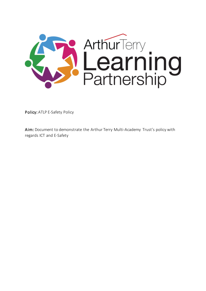

Policy: ATLP E-Safety Policy

Aim: Document to demonstrate the Arthur Terry Multi-Academy Trust's policy with regards ICT and E-Safety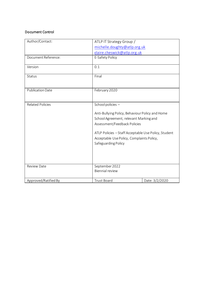## Document Control

| Author/Contact:         | ATLP IT Strategy Group /                                                                                                                                                                                                                                                   |                |
|-------------------------|----------------------------------------------------------------------------------------------------------------------------------------------------------------------------------------------------------------------------------------------------------------------------|----------------|
|                         | michelle.doughty@atlp.org.uk                                                                                                                                                                                                                                               |                |
|                         | claire.cheswick@atlp.org.uk                                                                                                                                                                                                                                                |                |
| Document Reference:     | E-Safety Policy                                                                                                                                                                                                                                                            |                |
| Version                 | 0.1                                                                                                                                                                                                                                                                        |                |
| Status                  | Final                                                                                                                                                                                                                                                                      |                |
| <b>Publication Date</b> | February 2020                                                                                                                                                                                                                                                              |                |
| <b>Related Policies</b> | School policies -<br>Anti-Bullying Policy, Behaviour Policy and Home<br>School Agreement, relevant Marking and<br>Assessment/Feedback Policies<br>ATLP Policies - Staff Acceptable Use Policy, Student<br>Acceptable Use Policy, Complaints Policy,<br>Safeguarding Policy |                |
| Review Date             | September 2022<br><b>Biennial review</b>                                                                                                                                                                                                                                   |                |
| Approved/Ratified By    | <b>Trust Board</b>                                                                                                                                                                                                                                                         | Date: 3/2/2020 |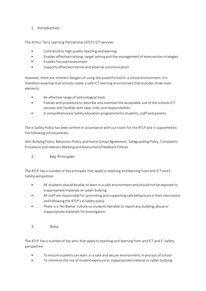# 1. Introduction

The Arthur Terry Learning Partnership (ATLP) ICT services:

- Contributeto high quality teaching and learning
- Enables effective tracking, target setting and the management of intervention strategies
- Enables focused assessment
- Supports effective internal and external communication

However, there are inherent dangers of using this powerfultool in a school environment. It is therefore essential that schools create a safe ICT learning environment that includes three main elements:

- An effective range of technological tools
- Policies and procedure to describe and maintain the acceptable use of the schools ICT services and facilities with clear roles and responsibilities
- A comprehensive e-Safety education programme for students, staff and parents.

The e-Safety Policy has been written in accordance with our vision for the ATLP and is supported by the following school policies:

Anti-Bullying Policy, Behaviour Policy and Home School Agreement, Safeguarding Policy, Complaints Procedure and relevant Marking and Assessment/Feedback Policies

2. Key Principles

The ATLP has a number of key principles that apply to teaching and learning from and ICT and E-Safety perspective:

- All students should be able to learn in a safe environment and should not be exposed to inappropriate materials or cyber-bullying
- All staff are responsible for promoting and supporting safe behaviours in their classrooms and following the ATLP's e-Safety policy
- There is a 'No Blame' culture so students feel able to report any bullying, abuse or inappropriate materials for investigation.
- 3. Aims

The ATLP has a number of key aims that apply to teaching and learning from and ICT and E-Safety perspective:

- To ensure students can learn in a safe and secure environment, in and out of school
- To minimise the risk of student exposure to inappropriate material or cyber-bullying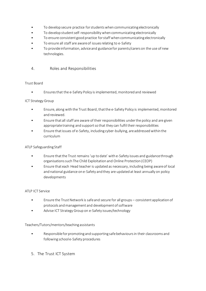- To develop secure practice for students when communicating electronically
- To develop student self-responsibility when communicating electronically
- To ensure consistent good practice for staff when communicating electronically
- To ensure all staff are aware of issues relating to e-Safety
- To provide information, advice and guidance for parents/carers on the use of new technologies.

## 4. Roles and Responsibilities

## Trust Board

• Ensures that the e-Safety Policy is implemented, monitored and reviewed

## ICT Strategy Group

- Ensure, along with the Trust Board, that the e-Safety Policy is implemented, monitored and reviewed.
- Ensure that all staff are aware of their responsibilities under the policy and are given appropriate training and support so that they can fulfil their responsibilities
- Ensure that issues of e-Safety, including cyber-bullying, areaddressed within the curriculum

### ATLP Safeguarding Staff

- Ensure that the Trust remains 'up to date' with e-Safety issues and guidance through organisations such The Child Exploitation and Online Protection (CEOP)
- Ensure that each Head teacher is updated as necessary, including being aware of local and national guidance on e-Safety and they are updated at least annually on policy developments

#### ATLP ICT Service

- Ensure the Trust Network is safe and secure for all groups consistent application of protocols and management and development of software
- Advise ICT Strategy Group on e-Safety issues/technology

## Teachers/Tutors/mentors/teaching assistants

- Responsible for promoting and supporting safe behaviours in their classrooms and following school e-Safety procedures
- 5. The Trust ICT System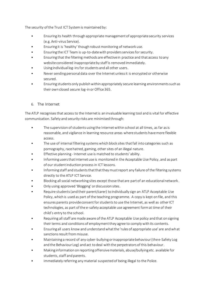The security of the Trust ICT System is maintained by:

- Ensuring its health through appropriate management of appropriate security services (e.g. Anti-virus Service).
- Ensuring it is 'healthy' though robust monitoring of network use.
- Ensuring the ICT Team is up-to-date with providers services for security.
- Ensuring that the filtering methods are effective in practice and that access to any website considered inappropriate by staff is removed immediately.
- Using individual log-ins for students and all other users.
- Never sending personal data over the Internet unless it is encrypted or otherwise secured.
- Ensuring students only publish within appropriately secure learning environments such as their own closed secure log-in or Office 365.

## 6. The Internet

The ATLP recognisesthat access to the Internet is an invaluable learning tool and is vital for effective communication. Safety and security risks are minimised through:

- The supervision of students using the Internet within school at all times, as far as is reasonable, and vigilance in learning resource areas where students have more flexible access.
- The use of internal filtering systems which block sites that fall into categories such as pornography, race hatred, gaming, other sites of an illegal nature.
- Effective planning Internet use is matched to students' ability.
- Informing users that Internet use is monitored in the Acceptable Use Policy, and as part of our student induction processin ICT lessons.
- Informing staff and students that that they must report any failure of the filtering systems directly to the ATLP ICT Service.
- Blocking all social networking sites except those that are part of an educational network .
- Only using approved 'Blogging' or discussion sites.
- Require students (and their parent/carer) to individually sign an ATLP Acceptable Use Policy, which is used as part of the teaching programme. A copy is kept on file, and this ensures parents provide consent for students to use the Internet, as well as other ICT technologies, as part of the e-safety acceptable use agreement form at time of their child's entry to the school.
- Requiring allstaff are made aware of the ATLP Acceptable Use policy and that on signing their terms and conditions of employment they agree to comply with its contents.
- Ensuring all users know and understand what the 'rules of appropriate use' are and what sanctions result from misuse.
- Maintaining a record of any cyber-bullying or inappropriate behaviour (the e-Safety Log and the Behaviour Log) and act to deal with the perpetrators of this behaviour.
- Making information on reporting offensive materials, abuse/bullying etc. available for students, staff and parents.
- Immediately referring any material suspected of being illegal to the Police.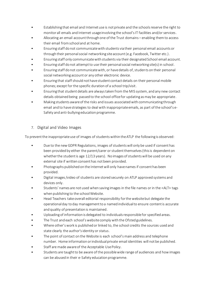- Establishing that email and Internet use is not private and the schoolsreserve the right to monitor all emails and Internet usage involving the school's IT facilities and/or services.
- Allocating an email account through one of the Trust domains enabling them to access their email from school and at home.
- Ensuring staff do not communicate with students via their personal email accounts or through their personal social networking site account (e.g. Facebook, Twitter etc.).
- Ensuring staff only communicate with students via their designated School email account.
- Ensuring staff do not attempt to use their personal social networking site(s) in school.
- Ensuring staff do not communicate with, or have details of, students on their personal social networking account or any other electronic device.
- Ensuring that staff should not have student contact details on their personal mobile phones; except for the specific duration of a school trip/visit.
- Ensuring that student details are always taken from the MIS system, and any new contact details obtained being passed to the school office for updating as may be appropriate.
- Making students aware of the risks and issues associated with communicating through email and to have strategies to deal with inappropriate emails, as part of the school's e-Safety and anti-bullying education programme.

# 7. Digital and Video Images

To prevent the inappropriate use of images of students within the ATLP the following is observed:

- Due to the new GDPR Regulations, images of students will only be used if consent has been provided by either the parent/carer or student themselves (this is dependent on whether the student is age 12/13 years). No images of students will be used on any external site if written consent has not been provided.
- Photographs published on the Internet will only have names if consent has been provided.
- Digital images /video of students are stored securely on ATLP approved systems and devices only.
- Students' names are not used when saving images in the file names or in the <ALT> tags when publishing to the school Website.
- Head Teachers take overall editorial responsibility for the website but delegate the operational day to day management to a named individual to ensure content is accurate and quality of presentation is maintained.
- Uploading of information is delegated to individuals responsible for specified areas.
- The Trust and each school's website comply with the Ofsted guidelines.
- Where other's work is published or linked to, the school credits the sources used and state clearly the author's identity or status.
- The point of contact on the Website is each school's main address and telephone number. Home information or individual private email identities will not be published.
- Staff are made aware of the Acceptable Use Policy.
- Students are taught to be aware of the possible wide range of audiences and how images can be abused in their e-Safety education programme.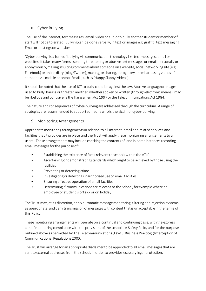# 8. Cyber Bullying

The use of the Internet, text messages, email, video or audio to bully another student or member of staff will not be tolerated. Bullying can be done verbally, in text or images e.g. graffiti, text messaging, Email or postings on websites.

'Cyber bullying' is a form of bullying via communication technology like text messages, email or websites. It takes many forms - sending threatening or abusive text messages or email, personally or anonymously, making insulting comments about someone on a website, social networking site (e.g. Facebook) or online diary (blog/Twitter), making, or sharing, derogatory or embarrassing videos of someone via mobile phone or Email (such as 'Happy Slappy' videos).

It should be noted that the use of ICT to bully could be against the law. Abusive language or images used to bully, harass or threaten another, whether spoken or written (through electronic means), may be libellous and contravene the Harassment Act 1997 or the Telecommunications Act 1984.

The nature and consequences of cyber-bullying are addressed through the curriculum. A range of strategies are recommended to support someone who is the victim of cyber-bullying.

# 9. Monitoring Arrangements

Appropriate monitoring arrangements in relation to all Internet, email and related services and facilities that it provides are in place and the Trust will apply these monitoring arrangements to all users. These arrangements may include checking the contents of, and in some instances recording, email messages for the purpose of:

- Establishing the existence of facts relevant to schools within the ATLP
- Ascertaining or demonstrating standards which ought to be achieved by those using the facilities
- Preventing or detecting crime
- Investigating or detecting unauthorised use of email facilities
- Ensuring effective operation of email facilities
- Determining if communications are relevant to the School, for example where an employee or student is off sick or on holiday.

The Trust may, at its discretion, apply automatic message monitoring, filtering and rejection systems as appropriate, and deny transmission of messages with content that is unacceptable in the terms of this Policy.

These monitoring arrangements will operate on a continual and continuing basis, with the express aim of monitoring compliance with the provisions of the school's e-Safety Policy and for the purposes outlined above as permitted by The Telecommunications (Lawful Business Practice) (Interception of Communications) Regulations 2000.

The Trust will arrange for an appropriate disclaimer to be appended to all email messages that are sent to external addresses from the school, in order to provide necessary legal protection.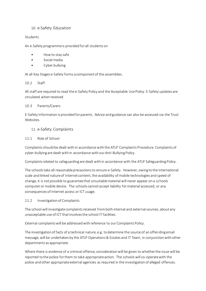## 10. e-Safety Education

### Students

An e-Safety programme is provided for all students on

- How to stay safe
- Social media
- Cyber bullying

At all Key Stages e-Safety forms a component of the assemblies.

### 10.2 Staff

All staff are required to read the e-Safety Policy and the Acceptable Use Policy. E-Safety updates are circulated when received

### 10.3 Parents/Carers

E-Safety Information is provided for parents. Advice and guidance can also be accessed via the Trust **Websites** 

## 11. e-Safety Complaints

### 11.1 Role of School

Complaints should be dealt with in accordance with the ATLP Complaints Procedure. Complaints of cyber-bullying are dealt with in accordance with our Anti-Bullying Policy.

Complaints related to safeguarding are dealt with in accordance with the ATLP Safeguarding Policy.

The schools take all reasonable precautions to ensure e-Safety. However, owing to the international scale and linked nature of Internet content, the availability of mobile technologies and speed of change, it is not possible to guarantee that unsuitable material will never appear on a schools computer or mobile device. The schools cannot accept liability for material accessed, or any consequences of Internet access or ICT usage.

## 11.2 Investigation of Complaints

The school will investigate complaints received from both internal and external sources, about any unacceptable use of ICT that involves the school IT facilities.

External complaints will be addressed with reference to our Complaints Policy.

The investigation of facts of a technical nature, e.g. to determine the source of an offending email message, will be undertaken by the ATLP Operations & Estates and IT Team, in conjunction with other departments as appropriate.

Where there is evidence of a criminal offence, consideration will be given to whether the issue will be reported to the police for them to take appropriate action. The schools will co-operate with the police and other appropriate external agencies as required in the investigation of alleged offences.